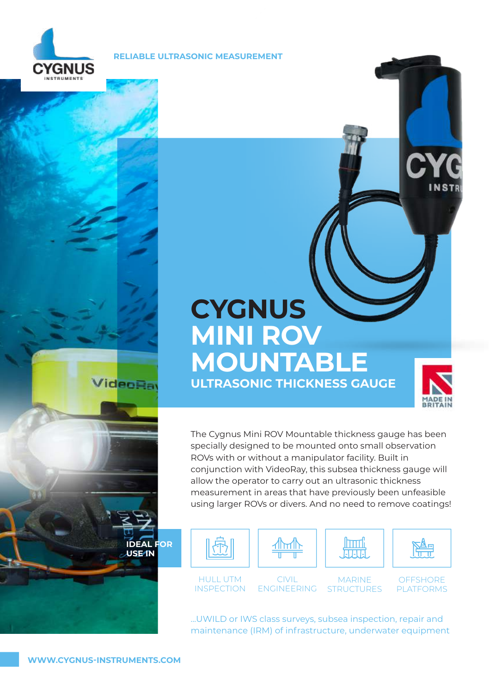

**RELIABLE ULTRASONIC MEASUREMENT** 

# **CYGNUS MINI ROV MOUNTABLE ULTRASONIC THICKNESS GAUGE**



The Cygnus Mini ROV Mountable thickness gauge has been specially designed to be mounted onto small observation ROVs with or without a manipulator facility. Built in conjunction with VideoRay, this subsea thickness gauge will allow the operator to carry out an ultrasonic thickness measurement in areas that have previously been unfeasible using larger ROVs or divers. And no need to remove coatings!



HULL UTM **INSPECTION** 

CIVIL ENGINEERING

MARINE **STRUCTURES** 

**OFFSHORE** PLATFORMS

...UWILD or IWS class surveys, subsea inspection, repair and maintenance (IRM) of infrastructure, underwater equipment

**IDEAL FOR USE IN**

**ideoRa**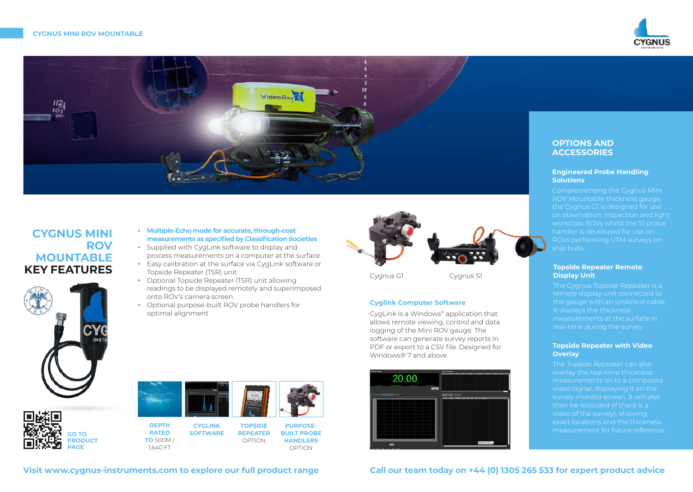



# **CYGNUS MINI ROV MOUNTABLE KEY FEATURES**





- **•** Supplied with CygLink software to display and process measurements on a computer at the surface
- **•** Easy calibration at the surface via CygLink software or Topside Repeater (TSR) unit
- **•** Optional Topside Repeater (TSR) unit allowing readings to be displayed remotely and superimposed onto ROV's camera screen
- **•** Optional purpose-built ROV probe handlers for optimal alignment



Cygnus G1 Cygnus S1

# **Cyglink Computer Software**

CygLink is a Windows® application that allows remote viewing, control and data logging of the Mini ROV gauge. The software can generate survey reports in PDF or export to a CSV file. Designed for Windows® 7 and above.



# **OPTIONS AND ACCESSORIES**

#### **Engineered Probe Handling Solutions**

Complementing the Cygnus Mini ROV Mountable thickness gauge, the Cygnus G1 is designed for use on observation, inspection and light workclass ROVs whilst the S1 probe handler is developed for use on ship hulls.

#### **Topside Repeater Remote Display Unit**

The Cygnus Topside Repeater is a remote display unit connected to the gauge with an umbilical cable. It displays the thickness measurements at the surface in real-time during the survey.

# **Topside Repeater with Video Overlay**

The Topside Repeater can also overlay the real-time thickness measurements on to a composite video signal, displaying it on the survey monitor screen. It will also then be recorded (if there is a video of the survey), showing exact locations and the thickness measurement for future reference.

**GO TO PRODUCT PAGE**



**CYGLINK SOFTWARE TOPSIDE REPEATER**  OPTION

**PURPOSE-BUILT PROBE HANDLERS**  OPTION

**Visit www.cygnus-instruments.com to explore our full product range Call our team today on +44 (0) 1305 265 533 for expert product advice**